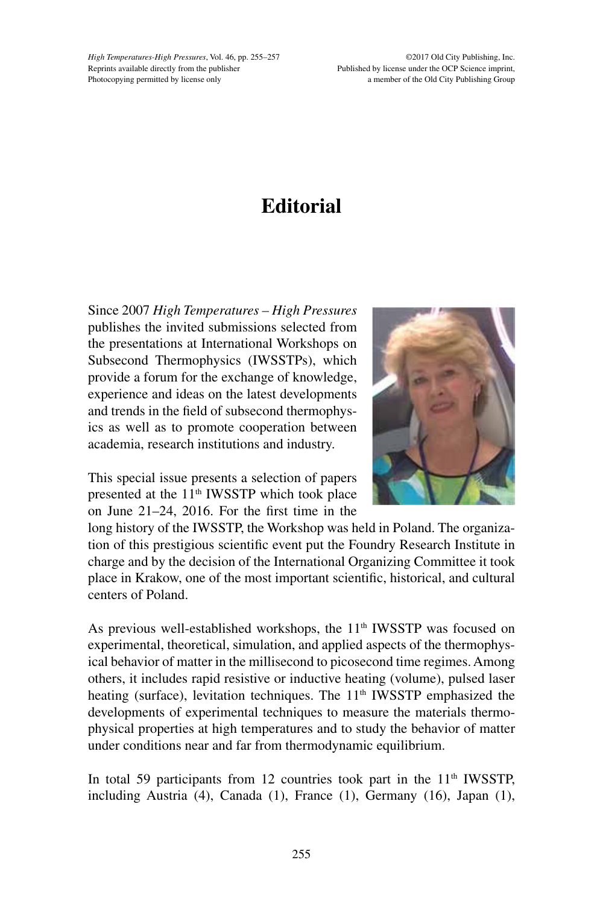*High Temperatures-High Pressures*, Vol. 46, pp. 255–257 Reprints available directly from the publisher Photocopying permitted by license only

©2017 Old City Publishing, Inc. Published by license under the OCP Science imprint, a member of the Old City Publishing Group

## **Editorial**

Since 2007 *High Temperatures – High Pressures*  publishes the invited submissions selected from the presentations at International Workshops on Subsecond Thermophysics (IWSSTPs), which provide a forum for the exchange of knowledge, experience and ideas on the latest developments and trends in the field of subsecond thermophysics as well as to promote cooperation between academia, research institutions and industry.

This special issue presents a selection of papers presented at the 11<sup>th</sup> IWSSTP which took place on June 21–24, 2016. For the first time in the



long history of the IWSSTP, the Workshop was held in Poland. The organization of this prestigious scientific event put the Foundry Research Institute in charge and by the decision of the International Organizing Committee it took place in Krakow, one of the most important scientific, historical, and cultural centers of Poland.

As previous well-established workshops, the  $11<sup>th</sup>$  IWSSTP was focused on experimental, theoretical, simulation, and applied aspects of the thermophysical behavior of matter in the millisecond to picosecond time regimes. Among others, it includes rapid resistive or inductive heating (volume), pulsed laser heating (surface), levitation techniques. The 11<sup>th</sup> IWSSTP emphasized the developments of experimental techniques to measure the materials thermophysical properties at high temperatures and to study the behavior of matter under conditions near and far from thermodynamic equilibrium.

In total 59 participants from 12 countries took part in the 11<sup>th</sup> IWSSTP, including Austria (4), Canada (1), France (1), Germany (16), Japan (1),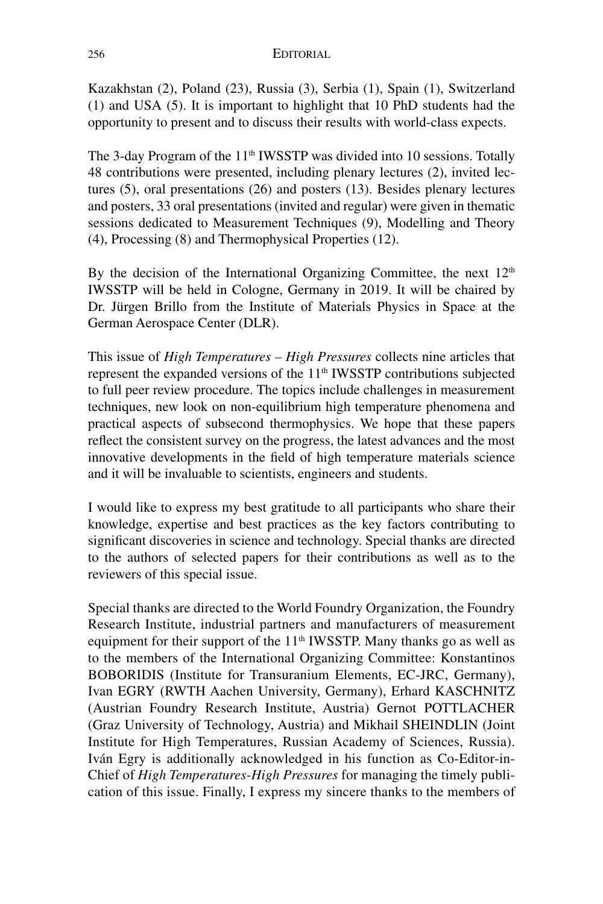Kazakhstan (2), Poland (23), Russia (3), Serbia (1), Spain (1), Switzerland (1) and USA (5). It is important to highlight that 10 PhD students had the opportunity to present and to discuss their results with world-class expects.

The 3-day Program of the  $11<sup>th</sup>$  IWSSTP was divided into 10 sessions. Totally 48 contributions were presented, including plenary lectures (2), invited lectures (5), oral presentations (26) and posters (13). Besides plenary lectures and posters, 33 oral presentations (invited and regular) were given in thematic sessions dedicated to Measurement Techniques (9), Modelling and Theory (4), Processing (8) and Thermophysical Properties (12).

By the decision of the International Organizing Committee, the next  $12<sup>th</sup>$ IWSSTP will be held in Cologne, Germany in 2019. It will be chaired by Dr. Jürgen Brillo from the Institute of Materials Physics in Space at the German Aerospace Center (DLR).

This issue of *High Temperatures – High Pressures* collects nine articles that represent the expanded versions of the  $11<sup>th</sup>$  IWSSTP contributions subjected to full peer review procedure. The topics include challenges in measurement techniques, new look on non-equilibrium high temperature phenomena and practical aspects of subsecond thermophysics. We hope that these papers reflect the consistent survey on the progress, the latest advances and the most innovative developments in the field of high temperature materials science and it will be invaluable to scientists, engineers and students.

I would like to express my best gratitude to all participants who share their knowledge, expertise and best practices as the key factors contributing to significant discoveries in science and technology. Special thanks are directed to the authors of selected papers for their contributions as well as to the reviewers of this special issue.

Special thanks are directed to the World Foundry Organization, the Foundry Research Institute, industrial partners and manufacturers of measurement equipment for their support of the  $11<sup>th</sup>$  IWSSTP. Many thanks go as well as to the members of the International Organizing Committee: Konstantinos BOBORIDIS (Institute for Transuranium Elements, EC-JRC, Germany), Ivan EGRY (RWTH Aachen University, Germany), Erhard KASCHNITZ (Austrian Foundry Research Institute, Austria) Gernot POTTLACHER (Graz University of Technology, Austria) and Mikhail SHEINDLIN (Joint Institute for High Temperatures, Russian Academy of Sciences, Russia). Iván Egry is additionally acknowledged in his function as Co-Editor-in-Chief of *High Temperatures-High Pressures* for managing the timely publication of this issue. Finally, I express my sincere thanks to the members of